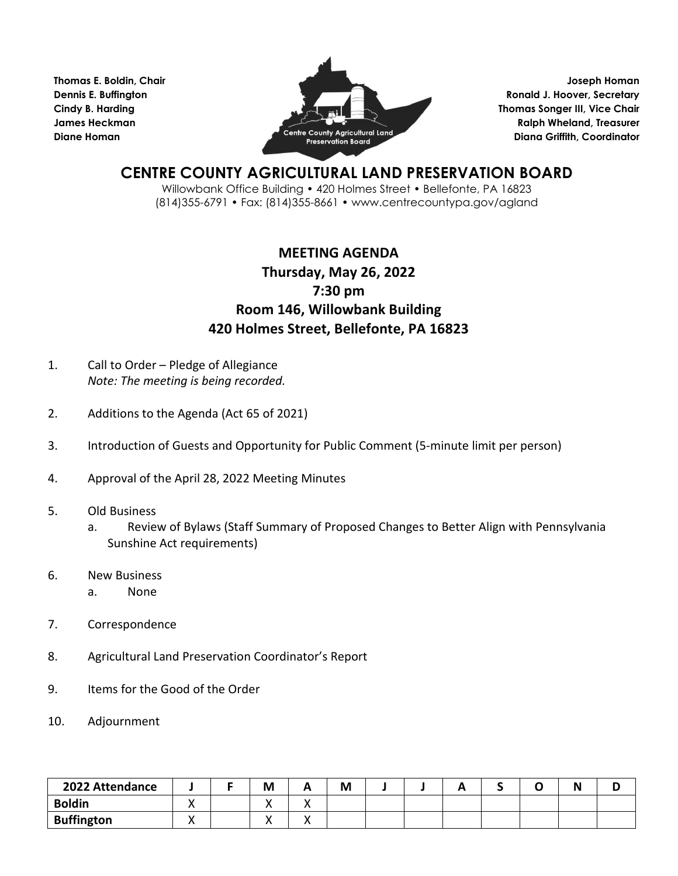**Thomas E. Boldin, Chair Dennis E. Buffington Cindy B. Harding James Heckman Diane Homan**



**Joseph Homan Ronald J. Hoover, Secretary Thomas Songer III, Vice Chair Ralph Wheland, Treasurer Diana Griffith, Coordinator**

## **CENTRE COUNTY AGRICULTURAL LAND PRESERVATION BOARD**

Willowbank Office Building • 420 Holmes Street • Bellefonte, PA 16823 (814)355-6791 • Fax: (814)355-8661 • www.centrecountypa.gov/agland

## **MEETING AGENDA Thursday, May 26, 2022 7:30 pm Room 146, Willowbank Building 420 Holmes Street, Bellefonte, PA 16823**

- 1. Call to Order Pledge of Allegiance *Note: The meeting is being recorded.*
- 2. Additions to the Agenda (Act 65 of 2021)
- 3. Introduction of Guests and Opportunity for Public Comment (5-minute limit per person)
- 4. Approval of the April 28, 2022 Meeting Minutes
- 5. Old Business
	- a. Review of Bylaws (Staff Summary of Proposed Changes to Better Align with Pennsylvania Sunshine Act requirements)
- 6. New Business
	- a. None
- 7. Correspondence
- 8. Agricultural Land Preservation Coordinator's Report
- 9. Items for the Good of the Order
- 10. Adjournment

| 2022 Attendance   |  | M   | M |  |  | . . | ◡ |
|-------------------|--|-----|---|--|--|-----|---|
| <b>Boldin</b>     |  | . . |   |  |  |     |   |
| <b>Buffington</b> |  | . . |   |  |  |     |   |